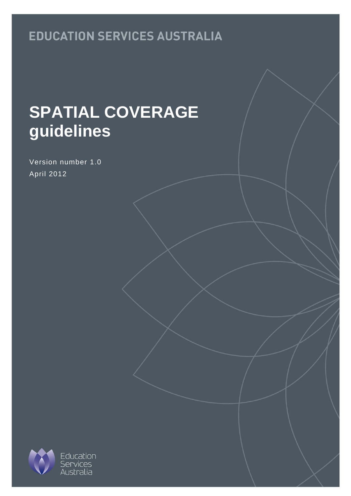## **EDUCATION SERVICES AUSTRALIA**

# **SPATIAL COVERAGE guidelines**

Version number 1.0 April 2012

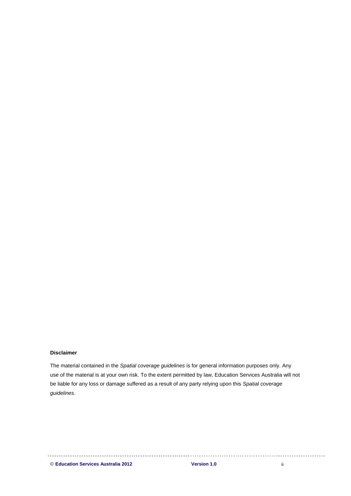### **Disclaimer**

The material contained in the *Spatial coverage guidelines* is for general information purposes only. Any use of the material is at your own risk. To the extent permitted by law, Education Services Australia will not be liable for any loss or damage suffered as a result of any party relying upon this *Spatial coverage guidelines*.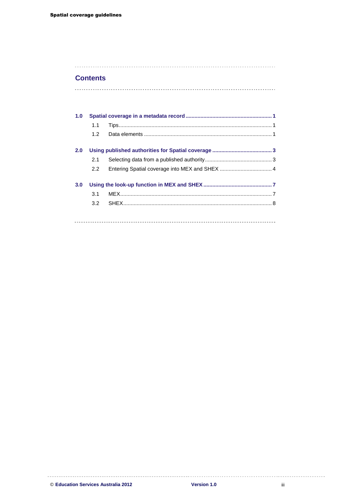| <b>Contents</b> |  |  |
|-----------------|--|--|

.com/activities/activities/activities/activities/activities/activities/activities/activities

| 1.0 |                  |                                                |
|-----|------------------|------------------------------------------------|
|     | 1.1              |                                                |
|     | 1.2 <sub>2</sub> |                                                |
| 2.0 |                  |                                                |
|     | 2.1              |                                                |
|     | $2.2^{\circ}$    | Entering Spatial coverage into MEX and SHEX  4 |
| 3.0 |                  |                                                |
|     | 3.1              |                                                |
|     | 3.2              |                                                |
|     |                  |                                                |
|     |                  |                                                |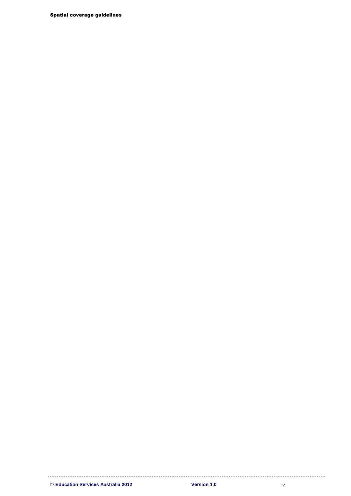Spatial coverage guidelines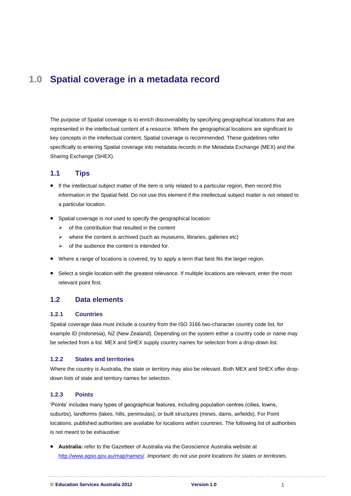### <span id="page-4-0"></span>**1.0 Spatial coverage in a metadata record**

The purpose of Spatial coverage is to enrich discoverability by specifying geographical locations that are represented in the intellectual content of a resource. Where the geographical locations are significant to key concepts in the intellectual content, Spatial coverage is recommended. These guidelines refer specifically to entering Spatial coverage into metadata records in the Metadata Exchange (MEX) and the Sharing Exchange (SHEX).

### <span id="page-4-1"></span>**1.1 Tips**

- If the intellectual subject matter of the item is only related to a particular region, then record this information in the Spatial field. Do not use this element if the intellectual subject matter is not related to a particular location.
- Spatial coverage is *not* used to specify the geographical location:
	- $\triangleright$  of the contribution that resulted in the content
	- $\triangleright$  where the content is archived (such as museums, libraries, galleries etc)
	- $\triangleright$  of the audience the content is intended for.
- Where a range of locations is covered, try to apply a term that best fits the larger region.
- Select a single location with the greatest relevance. If multiple locations are relevant, enter the most relevant point first.

### <span id="page-4-2"></span>**1.2 Data elements**

### **1.2.1 Countries**

Spatial coverage data must include a country from the ISO 3166 two-character country code list, for example ID (Indonesia), NZ (New Zealand). Depending on the system either a country code or name may be selected from a list. MEX and SHEX supply country names for selection from a drop-down list.

### **1.2.2 States and territories**

Where the country is Australia, the state or territory may also be relevant. Both MEX and SHEX offer dropdown lists of state and territory names for selection.

### **1.2.3 Points**

'Points' includes many types of geographical features, including population centres (cities, towns, suburbs), landforms (lakes, hills, peninsulas), or built structures (mines, dams, airfields). For Point locations, published authorities are available for locations within countries. The following list of authorities is not meant to be exhaustive:

 **Australia:** refer to the Gazetteer of Australia via the Geoscience Australia website at [http://www.agso.gov.au/map/names/.](http://www.agso.gov.au/map/names/) *Important: do not use point locations for states or territories.*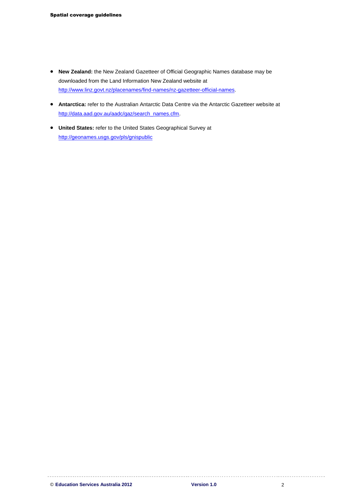- **New Zealand:** the New Zealand Gazetteer of Official Geographic Names database may be downloaded from the Land Information New Zealand website at [http://www.linz.govt.nz/placenames/find-names/nz-gazetteer-official-names.](http://www.linz.govt.nz/placenames/find-names/nz-gazetteer-official-names)
- **Antarctica:** refer to the Australian Antarctic Data Centre via the Antarctic Gazetteer website at [http://data.aad.gov.au/aadc/gaz/search\\_names.cfm.](http://data.aad.gov.au/aadc/gaz/search_names.cfm)
- **United States:** refer to the United States Geographical Survey at <http://geonames.usgs.gov/pls/gnispublic>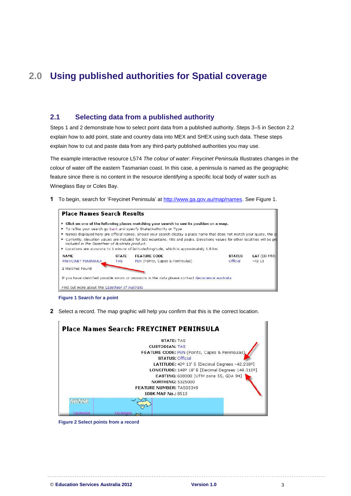### <span id="page-6-0"></span>**2.0 Using published authorities for Spatial coverage**

### <span id="page-6-1"></span>**2.1 Selecting data from a published authority**

Steps 1 and 2 demonstrate how to select point data from a published authority. Steps 3–5 in Section 2.2 explain how to add point, state and country data into MEX and SHEX using such data. These steps explain how to cut and paste data from any third-party published authorities you may use.

The example interactive resource L574 *The colour of water: Freycinet Peninsula* Illustrates changes in the colour of water off the eastern Tasmanian coast. In this case, a peninsula is named as the geographic feature since there is no content in the resource identifying a specific local body of water such as Wineglass Bay or Coles Bay.

**1** To begin, search for 'Freycinet Peninsula' at [http://www.ga.gov.au/map/names.](http://www.ga.gov.au/map/names) See Figure 1.

| <b>Place Names Search Results</b>                                                                                                                                                    |              |                                                                                                                           |               |             |  |
|--------------------------------------------------------------------------------------------------------------------------------------------------------------------------------------|--------------|---------------------------------------------------------------------------------------------------------------------------|---------------|-------------|--|
|                                                                                                                                                                                      |              | ► Click on one of the following places matching your search to see its position on a map.                                 |               |             |  |
|                                                                                                                                                                                      |              | To refine your search go back and specify State/Authority or Type                                                         |               |             |  |
|                                                                                                                                                                                      |              | > Names displayed here are official names. Should your search display a place name that does not match your query, the qu |               |             |  |
| ► Currently, elevation values are included for 500 mountains, hills and peaks. Elevations values for other localities will be pro<br>included in the Gazetteer of Australia product. |              |                                                                                                                           |               |             |  |
|                                                                                                                                                                                      |              | > Locations are accurate to 1 minute of latitude/longitude, which is approximately 1.8 km.                                |               |             |  |
| <b>NAME</b>                                                                                                                                                                          | <b>STATE</b> | <b>FEATURE CODE</b>                                                                                                       | <b>STATUS</b> | LAT (DD MM) |  |
| <b>FREYCINET PENINSULA</b>                                                                                                                                                           | <b>TAS</b>   | PEN (Points, Capes & Peninsulas)                                                                                          | Official      | $-4213$     |  |
| 1 Matches Found                                                                                                                                                                      |              |                                                                                                                           |               |             |  |
| If you have identified possible errors or omissions in the data please contact Geoscience Australia                                                                                  |              |                                                                                                                           |               |             |  |
| Find out more about the Gazetteer of Australia                                                                                                                                       |              |                                                                                                                           |               |             |  |



**2** Select a record. The map graphic will help you confirm that this is the correct location.



**Figure 2 Select points from a record**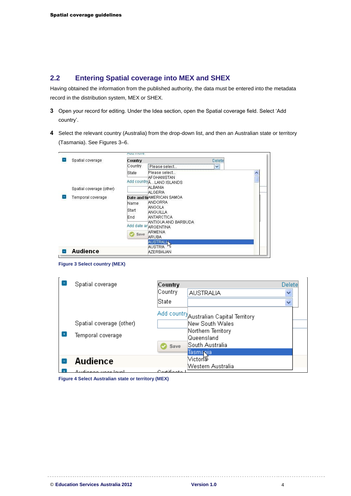### <span id="page-7-0"></span>**2.2 Entering Spatial coverage into MEX and SHEX**

Having obtained the information from the published authority, the data must be entered into the metadata record in the distribution system, MEX or SHEX.

- **3** Open your record for editing. Under the Idea section, open the Spatial coverage field. Select 'Add country'.
- **4** Select the relevant country (Australia) from the drop-down list, and then an Australian state or territory (Tasmania). See Figures 3–6.

| Spatial coverage<br>Spatial coverage (other)<br>Temporal coverage | Country<br>Country.<br>State<br>Name<br>Start<br>End<br>Save | <b>Deletel</b><br>Please select<br>v<br>Please select<br>AFGHANISTAN<br>Add country A LAND ISLANDS<br><b>ALBANIA</b><br><b>ALGERIA</b><br>Date and tijAMERICAN SAMOA<br><b>ANDORRA</b><br>ANGOLA<br>ANGUILLA<br><b>ANTARCTICA</b><br>ANTIGUA AND BARBUDA<br>Add date ar ARGENTINA<br><b>ARMENIA</b><br><b>ARUBA</b> |  |
|-------------------------------------------------------------------|--------------------------------------------------------------|---------------------------------------------------------------------------------------------------------------------------------------------------------------------------------------------------------------------------------------------------------------------------------------------------------------------|--|
| Audience                                                          |                                                              | <b>AUSTRALIA</b><br>AUSTRIA W<br>AZERBAIJAN                                                                                                                                                                                                                                                                         |  |

**Figure 3 Select country (MEX)**

| Spatial coverage         | Country    |                                          | Delete       |
|--------------------------|------------|------------------------------------------|--------------|
|                          | Country    | <b>AUSTRALIA</b>                         | $\checkmark$ |
|                          | State      |                                          | v            |
|                          |            | Add country Australian Capital Territory |              |
| Spatial coverage (other) |            | New South Wales                          |              |
| Temporal coverage        |            | Northern Territory<br>Queensland         |              |
|                          | Save       | South Australia                          |              |
|                          |            | Tasmania,                                |              |
| Audience                 |            | Mictorl҈≫<br>Western Australia           |              |
| مبيط عممينا مممناهيية    | ∩adifiaata |                                          |              |

**Figure 4 Select Australian state or territory (MEX)**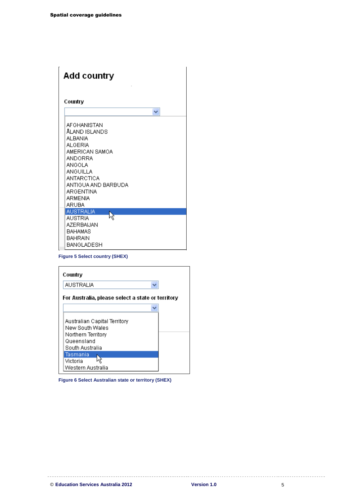| Add country               |  |  |  |  |
|---------------------------|--|--|--|--|
| Country                   |  |  |  |  |
| v                         |  |  |  |  |
| AFGHANISTAN               |  |  |  |  |
| ÅLAND ISLANDS             |  |  |  |  |
| <b>ALBANIA</b>            |  |  |  |  |
| <b>ALGERIA</b>            |  |  |  |  |
| AMERICAN SAMOA            |  |  |  |  |
| ANDORRA                   |  |  |  |  |
| ANGOLA                    |  |  |  |  |
| ANGUILLA                  |  |  |  |  |
| <b>ANTARCTICA</b>         |  |  |  |  |
| ANTIGUA AND BARBUDA       |  |  |  |  |
| ARGENTINA                 |  |  |  |  |
| ARMENIA                   |  |  |  |  |
| ARUBA<br><b>AUSTRALIA</b> |  |  |  |  |
| 咚<br>AUSTRIA              |  |  |  |  |
| AZERBAIJAN                |  |  |  |  |
| <b>BAHAMAS</b>            |  |  |  |  |
| BAHRAIN                   |  |  |  |  |
| <b>BANGLADESH</b>         |  |  |  |  |

**Figure 5 Select country (SHEX)** 

| Country                                           |  |
|---------------------------------------------------|--|
| <b>AUSTRALIA</b>                                  |  |
| For Australia, please select a state or territory |  |
|                                                   |  |
| Australian Capital Territory<br>New South Wales   |  |
| Northern Territory                                |  |
| Queensland<br>South Australia                     |  |
| Tasmania                                          |  |
| Victoria<br>Western Australia                     |  |

**Figure 6 Select Australian state or territory (SHEX)**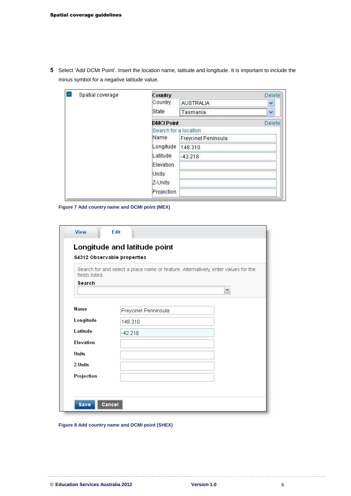**5** Select 'Add DCMI Point'. Insert the location name, latitude and longitude. It is important to include the minus symbol for a negative latitude value.

| Ē<br>Spatial coverage | Country                       |                            | <b>Delete</b> |
|-----------------------|-------------------------------|----------------------------|---------------|
|                       | Country<br><b>State</b>       | <b>AUSTRALIA</b>           | ٧             |
|                       |                               | l Tasmania                 | $\checkmark$  |
|                       | <b>DMCI Point</b>             |                            | <b>Delete</b> |
|                       | Search for a location         |                            |               |
|                       | Name<br>Longitude<br>Latitude | <b>Freycinet Peninsula</b> |               |
|                       |                               | 148.310                    |               |
|                       |                               | $-42.218$                  |               |
|                       | Elevation                     |                            |               |
|                       | Units                         |                            |               |
|                       | Z-Units                       |                            |               |
|                       | Projection                    |                            |               |

**Figure 7 Add country name and DCMI point (MEX)** 

| S4312 Observable properties |                                                                                    |  |  |  |  |
|-----------------------------|------------------------------------------------------------------------------------|--|--|--|--|
| fields listed.              | Search for and select a place name or feature. Alternatively, enter values for the |  |  |  |  |
| Search                      | v                                                                                  |  |  |  |  |
|                             |                                                                                    |  |  |  |  |
| Name                        | Freycinet Penninsula                                                               |  |  |  |  |
| Longitude                   | 148.310                                                                            |  |  |  |  |
| Latitude                    | $-42.218$                                                                          |  |  |  |  |
| Elevation                   |                                                                                    |  |  |  |  |
| <b>Units</b>                |                                                                                    |  |  |  |  |
| Z-Units                     |                                                                                    |  |  |  |  |
| Projection                  |                                                                                    |  |  |  |  |

**Figure 8 Add country name and DCMI point (SHEX)**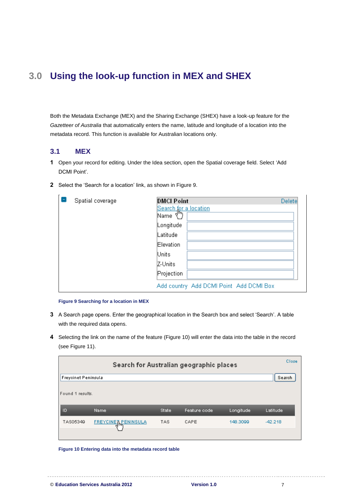### <span id="page-10-0"></span>**3.0 Using the look-up function in MEX and SHEX**

Both the Metadata Exchange (MEX) and the Sharing Exchange (SHEX) have a look-up feature for the *Gazetteer of Australia* that automatically enters the name, latitude and longitude of a location into the metadata record. This function is available for Australian locations only.

### <span id="page-10-1"></span>**3.1 MEX**

- **1** Open your record for editing. Under the Idea section, open the Spatial coverage field. Select 'Add DCMI Point'.
- **2** Select the 'Search for a location' link, as shown in Figure 9.

| Spatial coverage | <b>DMCI Point</b>                         | Delete |
|------------------|-------------------------------------------|--------|
|                  |                                           |        |
|                  | Search for a location<br>Name (           |        |
|                  | Longitude                                 |        |
|                  | Latitude                                  |        |
|                  | Elevation                                 |        |
|                  | Units                                     |        |
|                  | Z-Units                                   |        |
|                  | Projection                                |        |
|                  | Add country: Add DCMI Point: Add DCMI Box |        |

#### **Figure 9 Searching for a location in MEX**

- **3** A Search page opens. Enter the geographical location in the Search box and select 'Search'. A table with the required data opens.
- **4** Selecting the link on the name of the feature (Figure 10) will enter the data into the table in the record (see Figure 11).

| Close<br>Search for Australian geographic places |                                      |              |              |            |           |  |  |
|--------------------------------------------------|--------------------------------------|--------------|--------------|------------|-----------|--|--|
|                                                  | Search<br><b>Freycinet Peninsula</b> |              |              |            |           |  |  |
|                                                  | Found 1 results.                     |              |              |            |           |  |  |
| ID                                               | <b>Name</b>                          | <b>State</b> | Feature code | Longitude, | Latitude  |  |  |
| TAS05349                                         | <b>FREYCINE DENINSULA</b>            | TAS.         | CAPE         | 148,3099   | $-42.218$ |  |  |
|                                                  |                                      |              |              |            |           |  |  |

#### **Figure 10 Entering data into the metadata record table**

. . . . . . . . . . . . . .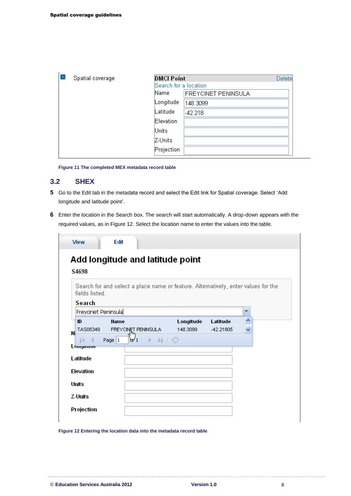| $\overline{\phantom{a}}$ | Spatial coverage | <b>DMCI Point</b>     |                            | Delete |
|--------------------------|------------------|-----------------------|----------------------------|--------|
|                          |                  | Search for a location |                            |        |
|                          |                  | Name                  | <b>FREYCINET PENINSULA</b> |        |
|                          |                  | Longitude             | 148.3099                   |        |
|                          |                  | Latitude              | $-42.218$                  |        |
|                          |                  | Elevation             |                            |        |
|                          |                  | Units                 |                            |        |
|                          |                  | IZ-Units              |                            |        |
|                          |                  | Projection            |                            |        |

**Figure 11 The completed MEX metadata record table** 

### <span id="page-11-0"></span>**3.2 SHEX**

- **5** Go to the Edit tab in the metadata record and select the Edit link for Spatial coverage. Select ['Add](http://sharing.thelearningfederation.edu.au/Metadata/22060e7e-fc57-4745-85aa-a0010099c249/sb752842d-622a-4372-8f8b-d66920ab795f/NewDcmiPoint)  [longitude and latitude point'.](http://sharing.thelearningfederation.edu.au/Metadata/22060e7e-fc57-4745-85aa-a0010099c249/sb752842d-622a-4372-8f8b-d66920ab795f/NewDcmiPoint)
- **6** Enter the location in the Search box. The search will start automatically. A drop-down appears with the required values, as in Figure 12. Select the location name to enter the values into the table.

| <b>View</b>                               | Edit                                                                               |                       |                       |   |  |
|-------------------------------------------|------------------------------------------------------------------------------------|-----------------------|-----------------------|---|--|
| Add longitude and latitude point<br>S4698 |                                                                                    |                       |                       |   |  |
| fields listed.                            | Search for and select a place name or feature. Alternatively, enter values for the |                       |                       |   |  |
| Search                                    |                                                                                    |                       |                       |   |  |
| Freycinet Peninsula                       |                                                                                    |                       |                       | v |  |
| ID<br>TAS05349<br>N.                      | Name<br>FREYCINET PENINSULA                                                        | Longitude<br>148,3099 | Latitude<br>-42.21805 | ۸ |  |
|                                           | تربر ا<br>)ज∕1 ∥ ⊵<br>$\vert$ Page 1                                               | - DI 1 O              |                       |   |  |
| <u>Longituut</u>                          |                                                                                    |                       |                       |   |  |
| Latitude                                  |                                                                                    |                       |                       |   |  |
| Elevation                                 |                                                                                    |                       |                       |   |  |
| Units                                     |                                                                                    |                       |                       |   |  |
| Z-Units                                   |                                                                                    |                       |                       |   |  |
| Projection                                |                                                                                    |                       |                       |   |  |

**Figure 12 Entering the location data into the metadata record table**